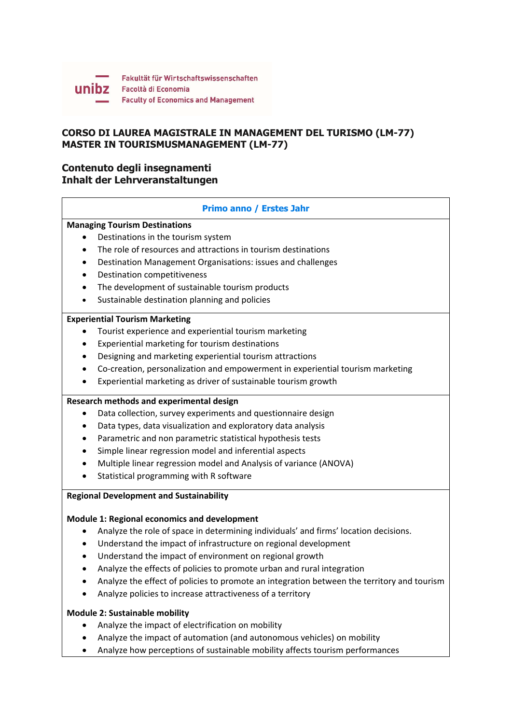

## **CORSO DI LAUREA MAGISTRALE IN MANAGEMENT DEL TURISMO (LM-77) MASTER IN TOURISMUSMANAGEMENT (LM-77)**

# **Contenuto degli insegnamenti Inhalt der Lehrveranstaltungen**

## **Primo anno / Erstes Jahr**

# **Managing Tourism Destinations**

- Destinations in the tourism system
- The role of resources and attractions in tourism destinations
- Destination Management Organisations: issues and challenges
- Destination competitiveness
- The development of sustainable tourism products
- Sustainable destination planning and policies

#### **Experiential Tourism Marketing**

- Tourist experience and experiential tourism marketing
- Experiential marketing for tourism destinations
- Designing and marketing experiential tourism attractions
- Co‐creation, personalization and empowerment in experiential tourism marketing
- Experiential marketing as driver of sustainable tourism growth

## **Research methods and experimental design**

- Data collection, survey experiments and questionnaire design
- Data types, data visualization and exploratory data analysis
- Parametric and non parametric statistical hypothesis tests
- Simple linear regression model and inferential aspects
- Multiple linear regression model and Analysis of variance (ANOVA)
- Statistical programming with R software

## **Regional Development and Sustainability**

## **Module 1: Regional economics and development**

- Analyze the role of space in determining individuals' and firms' location decisions.
- Understand the impact of infrastructure on regional development
- Understand the impact of environment on regional growth
- Analyze the effects of policies to promote urban and rural integration
- Analyze the effect of policies to promote an integration between the territory and tourism
- Analyze policies to increase attractiveness of a territory

## **Module 2: Sustainable mobility**

- Analyze the impact of electrification on mobility
- Analyze the impact of automation (and autonomous vehicles) on mobility
- Analyze how perceptions of sustainable mobility affects tourism performances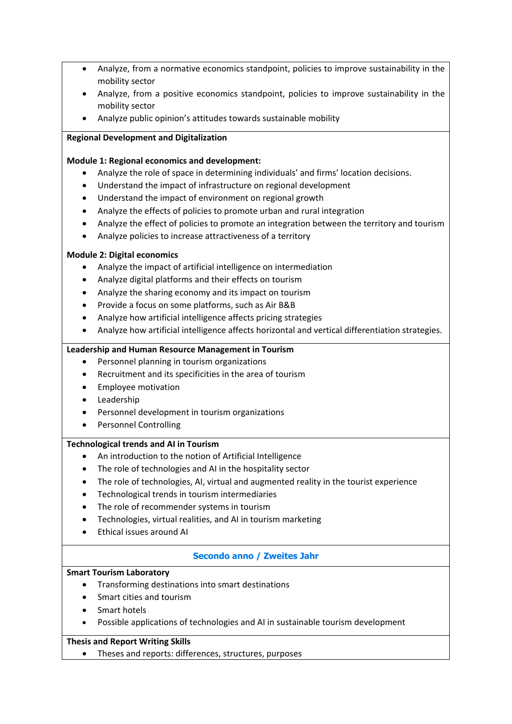- Analyze, from a normative economics standpoint, policies to improve sustainability in the mobility sector
- Analyze, from a positive economics standpoint, policies to improve sustainability in the mobility sector
- Analyze public opinion's attitudes towards sustainable mobility

## **Regional Development and Digitalization**

#### **Module 1: Regional economics and development:**

- Analyze the role of space in determining individuals' and firms' location decisions.
- Understand the impact of infrastructure on regional development
- Understand the impact of environment on regional growth
- Analyze the effects of policies to promote urban and rural integration
- Analyze the effect of policies to promote an integration between the territory and tourism
- Analyze policies to increase attractiveness of a territory

#### **Module 2: Digital economics**

- Analyze the impact of artificial intelligence on intermediation
- Analyze digital platforms and their effects on tourism
- Analyze the sharing economy and its impact on tourism
- Provide a focus on some platforms, such as Air B&B
- Analyze how artificial intelligence affects pricing strategies
- Analyze how artificial intelligence affects horizontal and vertical differentiation strategies.

## **Leadership and Human Resource Management in Tourism**

- Personnel planning in tourism organizations
- Recruitment and its specificities in the area of tourism
- **•** Employee motivation
- Leadership
- Personnel development in tourism organizations
- Personnel Controlling

## **Technological trends and AI in Tourism**

- An introduction to the notion of Artificial Intelligence
- The role of technologies and AI in the hospitality sector
- The role of technologies, AI, virtual and augmented reality in the tourist experience
- Technological trends in tourism intermediaries
- The role of recommender systems in tourism
- Technologies, virtual realities, and AI in tourism marketing
- Ethical issues around AI

## **Secondo anno / Zweites Jahr**

## **Smart Tourism Laboratory**

- Transforming destinations into smart destinations
- Smart cities and tourism
- Smart hotels
- Possible applications of technologies and AI in sustainable tourism development

## **Thesis and Report Writing Skills**

Theses and reports: differences, structures, purposes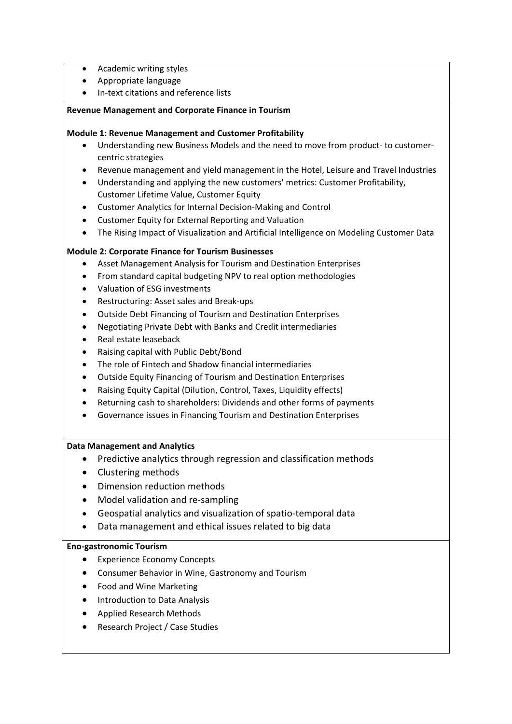- Academic writing styles
- Appropriate language
- In-text citations and reference lists

#### **Revenue Management and Corporate Finance in Tourism**

#### **Module 1: Revenue Management and Customer Profitability**

- Understanding new Business Models and the need to move from product‐ to customer‐ centric strategies
- Revenue management and yield management in the Hotel, Leisure and Travel Industries
- Understanding and applying the new customers' metrics: Customer Profitability, Customer Lifetime Value, Customer Equity
- Customer Analytics for Internal Decision-Making and Control
- Customer Equity for External Reporting and Valuation
- The Rising Impact of Visualization and Artificial Intelligence on Modeling Customer Data

## **Module 2: Corporate Finance for Tourism Businesses**

- Asset Management Analysis for Tourism and Destination Enterprises
- From standard capital budgeting NPV to real option methodologies
- Valuation of ESG investments
- Restructuring: Asset sales and Break‐ups
- Outside Debt Financing of Tourism and Destination Enterprises
- Negotiating Private Debt with Banks and Credit intermediaries
- Real estate leaseback
- Raising capital with Public Debt/Bond
- The role of Fintech and Shadow financial intermediaries
- Outside Equity Financing of Tourism and Destination Enterprises
- Raising Equity Capital (Dilution, Control, Taxes, Liquidity effects)
- Returning cash to shareholders: Dividends and other forms of payments
- Governance issues in Financing Tourism and Destination Enterprises

#### **Data Management and Analytics**

- Predictive analytics through regression and classification methods
- Clustering methods
- Dimension reduction methods
- Model validation and re-sampling
- Geospatial analytics and visualization of spatio-temporal data
- Data management and ethical issues related to big data

#### **Eno‐gastronomic Tourism**

- Experience Economy Concepts
- Consumer Behavior in Wine, Gastronomy and Tourism
- Food and Wine Marketing
- **•** Introduction to Data Analysis
- Applied Research Methods
- Research Project / Case Studies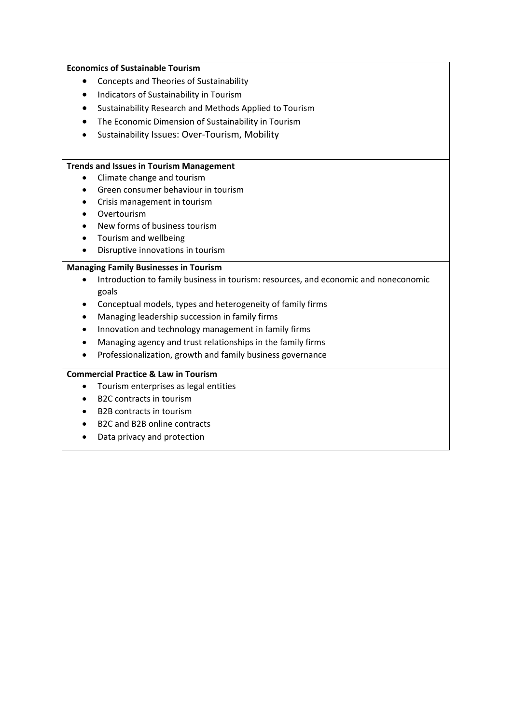#### **Economics of Sustainable Tourism**

- Concepts and Theories of Sustainability
- Indicators of Sustainability in Tourism
- Sustainability Research and Methods Applied to Tourism
- The Economic Dimension of Sustainability in Tourism
- Sustainability Issues: Over‐Tourism, Mobility

#### **Trends and Issues in Tourism Management**

- Climate change and tourism
- **Green consumer behaviour in tourism**
- Crisis management in tourism
- Overtourism
- New forms of business tourism
- Tourism and wellbeing
- Disruptive innovations in tourism

#### **Managing Family Businesses in Tourism**

- Introduction to family business in tourism: resources, and economic and noneconomic goals
- Conceptual models, types and heterogeneity of family firms
- Managing leadership succession in family firms
- Innovation and technology management in family firms
- Managing agency and trust relationships in the family firms
- Professionalization, growth and family business governance

#### **Commercial Practice & Law in Tourism**

- Tourism enterprises as legal entities
- B2C contracts in tourism
- B2B contracts in tourism
- B2C and B2B online contracts
- Data privacy and protection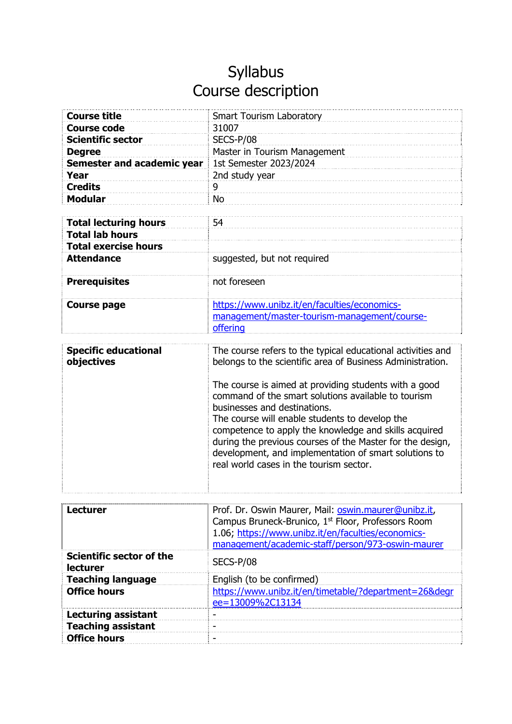| <b>Course title</b>          | <b>Smart Tourism Laboratory</b>              |
|------------------------------|----------------------------------------------|
| <b>Course code</b>           | 31007                                        |
| <b>Scientific sector</b>     | SECS-P/08                                    |
| <b>Degree</b>                | Master in Tourism Management                 |
| Semester and academic year   | 1st Semester 2023/2024                       |
| Year                         | 2nd study year                               |
| <b>Credits</b>               | 9                                            |
| <b>Modular</b>               | <b>No</b>                                    |
|                              |                                              |
| <b>Total lecturing hours</b> | 54                                           |
| <b>Total lab hours</b>       |                                              |
| <b>Total exercise hours</b>  |                                              |
| <b>Attendance</b>            | suggested, but not required                  |
|                              |                                              |
| <b>Prerequisites</b>         | not foreseen                                 |
|                              |                                              |
| <b>Course page</b>           | https://www.unibz.it/en/faculties/economics- |
|                              | management/master-tourism-management/course- |
|                              | offering                                     |

| <b>Specific educational</b> | The course refers to the typical educational activities and                                                                                                                                                                                                                                                                                                                                                              |
|-----------------------------|--------------------------------------------------------------------------------------------------------------------------------------------------------------------------------------------------------------------------------------------------------------------------------------------------------------------------------------------------------------------------------------------------------------------------|
| objectives                  | belongs to the scientific area of Business Administration.                                                                                                                                                                                                                                                                                                                                                               |
|                             | The course is aimed at providing students with a good<br>command of the smart solutions available to tourism<br>businesses and destinations.<br>The course will enable students to develop the<br>competence to apply the knowledge and skills acquired<br>during the previous courses of the Master for the design,<br>development, and implementation of smart solutions to<br>real world cases in the tourism sector. |

| <b>Lecturer</b>                                    | Prof. Dr. Oswin Maurer, Mail: oswin.maurer@unibz.it,<br>Campus Bruneck-Brunico, 1 <sup>st</sup> Floor, Professors Room<br>1.06; https://www.unibz.it/en/faculties/economics-<br>management/academic-staff/person/973-oswin-maurer |
|----------------------------------------------------|-----------------------------------------------------------------------------------------------------------------------------------------------------------------------------------------------------------------------------------|
| <b>Scientific sector of the</b><br><b>lecturer</b> | SECS-P/08                                                                                                                                                                                                                         |
| <b>Teaching language</b>                           | English (to be confirmed)                                                                                                                                                                                                         |
| <b>Office hours</b>                                | https://www.unibz.it/en/timetable/?department=26&degr<br>ee=13009%2C13134                                                                                                                                                         |
| <b>Lecturing assistant</b>                         |                                                                                                                                                                                                                                   |
| <b>Teaching assistant</b>                          |                                                                                                                                                                                                                                   |
| <b>Office hours</b>                                |                                                                                                                                                                                                                                   |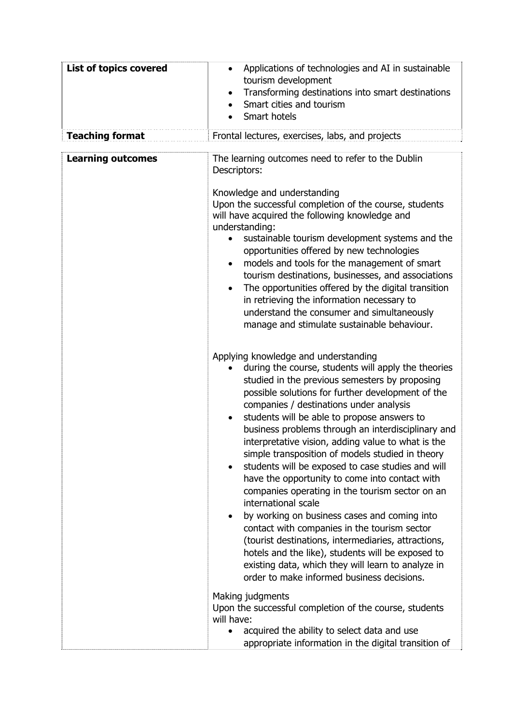| <b>List of topics covered</b> | Applications of technologies and AI in sustainable<br>$\bullet$<br>tourism development<br>Transforming destinations into smart destinations<br>$\bullet$<br>Smart cities and tourism<br>$\bullet$<br>Smart hotels                                                                                                                                                                                                                                                                                                                                                                                                                                                                                                                                                                                                                                                                                                                                                                            |
|-------------------------------|----------------------------------------------------------------------------------------------------------------------------------------------------------------------------------------------------------------------------------------------------------------------------------------------------------------------------------------------------------------------------------------------------------------------------------------------------------------------------------------------------------------------------------------------------------------------------------------------------------------------------------------------------------------------------------------------------------------------------------------------------------------------------------------------------------------------------------------------------------------------------------------------------------------------------------------------------------------------------------------------|
| <b>Teaching format</b>        | Frontal lectures, exercises, labs, and projects                                                                                                                                                                                                                                                                                                                                                                                                                                                                                                                                                                                                                                                                                                                                                                                                                                                                                                                                              |
| <b>Learning outcomes</b>      | The learning outcomes need to refer to the Dublin<br>Descriptors:<br>Knowledge and understanding<br>Upon the successful completion of the course, students<br>will have acquired the following knowledge and<br>understanding:<br>sustainable tourism development systems and the<br>opportunities offered by new technologies<br>models and tools for the management of smart<br>$\bullet$<br>tourism destinations, businesses, and associations<br>The opportunities offered by the digital transition<br>$\bullet$<br>in retrieving the information necessary to<br>understand the consumer and simultaneously<br>manage and stimulate sustainable behaviour.                                                                                                                                                                                                                                                                                                                             |
|                               | Applying knowledge and understanding<br>during the course, students will apply the theories<br>studied in the previous semesters by proposing<br>possible solutions for further development of the<br>companies / destinations under analysis<br>students will be able to propose answers to<br>٠<br>business problems through an interdisciplinary and<br>interpretative vision, adding value to what is the<br>simple transposition of models studied in theory<br>students will be exposed to case studies and will<br>$\bullet$<br>have the opportunity to come into contact with<br>companies operating in the tourism sector on an<br>international scale<br>by working on business cases and coming into<br>$\bullet$<br>contact with companies in the tourism sector<br>(tourist destinations, intermediaries, attractions,<br>hotels and the like), students will be exposed to<br>existing data, which they will learn to analyze in<br>order to make informed business decisions. |
|                               | Making judgments<br>Upon the successful completion of the course, students<br>will have:<br>acquired the ability to select data and use<br>$\bullet$<br>appropriate information in the digital transition of                                                                                                                                                                                                                                                                                                                                                                                                                                                                                                                                                                                                                                                                                                                                                                                 |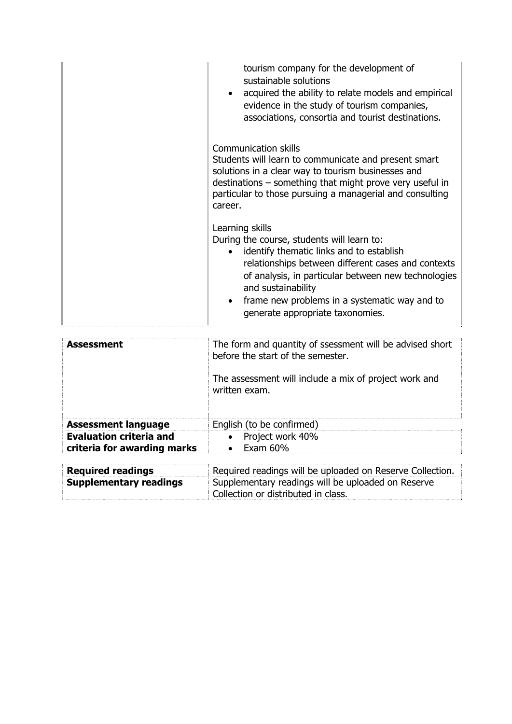| tourism company for the development of<br>sustainable solutions<br>acquired the ability to relate models and empirical<br>evidence in the study of tourism companies,<br>associations, consortia and tourist destinations.                                                                                                        |
|-----------------------------------------------------------------------------------------------------------------------------------------------------------------------------------------------------------------------------------------------------------------------------------------------------------------------------------|
| Communication skills<br>Students will learn to communicate and present smart<br>solutions in a clear way to tourism businesses and<br>destinations - something that might prove very useful in<br>particular to those pursuing a managerial and consulting<br>career.                                                             |
| Learning skills<br>During the course, students will learn to:<br>identify thematic links and to establish<br>relationships between different cases and contexts<br>of analysis, in particular between new technologies<br>and sustainability<br>frame new problems in a systematic way and to<br>generate appropriate taxonomies. |

| <b>Assessment</b>              | The form and quantity of ssessment will be advised short<br>before the start of the semester.<br>The assessment will include a mix of project work and<br>written exam. |
|--------------------------------|-------------------------------------------------------------------------------------------------------------------------------------------------------------------------|
| <b>Assessment language</b>     | English (to be confirmed)                                                                                                                                               |
| <b>Evaluation criteria and</b> | • Project work 40%                                                                                                                                                      |
| criteria for awarding marks    | Exam 60%<br>$\bullet$                                                                                                                                                   |
| <b>Required readings</b>       | Required readings will be uploaded on Reserve Collection.                                                                                                               |
|                                |                                                                                                                                                                         |

| <b>Required readings</b>      | Required readings will be uploaded on Reserve Collection. |
|-------------------------------|-----------------------------------------------------------|
| <b>Supplementary readings</b> | Supplementary readings will be uploaded on Reserve        |
|                               | Collection or distributed in class.                       |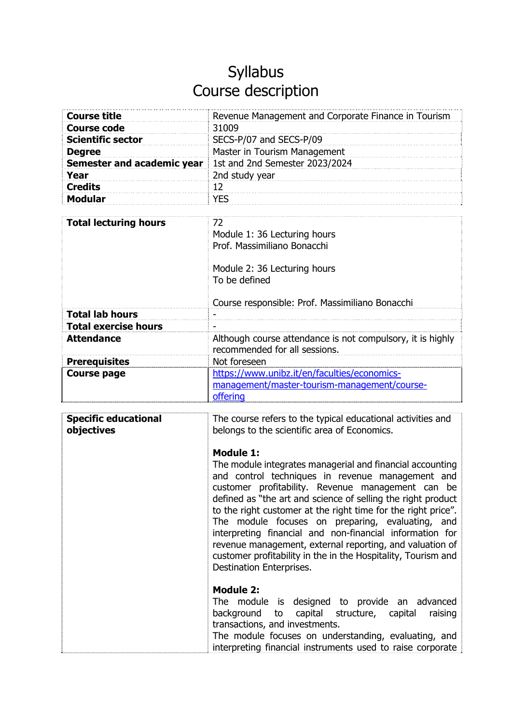| <b>Course title</b>        | Revenue Management and Corporate Finance in Tourism |
|----------------------------|-----------------------------------------------------|
| <b>Course code</b>         | 31009                                               |
| <b>Scientific sector</b>   | SECS-P/07 and SECS-P/09                             |
| <b>Degree</b>              | Master in Tourism Management                        |
| Semester and academic year | 1st and 2nd Semester 2023/2024                      |
| Year                       | 2nd study year                                      |
| <b>Credits</b>             | 12                                                  |
| <b>Modular</b>             | <b>YFS</b>                                          |

| <b>Total lecturing hours</b> | 72.<br>Module 1: 36 Lecturing hours<br>Prof. Massimiliano Bonacchi<br>Module 2: 36 Lecturing hours<br>To be defined<br>Course responsible: Prof. Massimiliano Bonacchi |
|------------------------------|------------------------------------------------------------------------------------------------------------------------------------------------------------------------|
| <b>Total lab hours</b>       |                                                                                                                                                                        |
| <b>Total exercise hours</b>  |                                                                                                                                                                        |
| <b>Attendance</b>            | Although course attendance is not compulsory, it is highly<br>recommended for all sessions.                                                                            |
| <b>Prerequisites</b>         | Not foreseen                                                                                                                                                           |
| <b>Course page</b>           | https://www.unibz.it/en/faculties/economics-<br>management/master-tourism-management/course-<br>offering                                                               |

| <b>Specific educational</b><br>objectives | The course refers to the typical educational activities and<br>belongs to the scientific area of Economics.<br><b>Module 1:</b><br>The module integrates managerial and financial accounting<br>and control techniques in revenue management and<br>customer profitability. Revenue management can be<br>defined as "the art and science of selling the right product<br>to the right customer at the right time for the right price".<br>The module focuses on preparing, evaluating, and<br>interpreting financial and non-financial information for<br>revenue management, external reporting, and valuation of<br>customer profitability in the in the Hospitality, Tourism and<br>Destination Enterprises. |
|-------------------------------------------|-----------------------------------------------------------------------------------------------------------------------------------------------------------------------------------------------------------------------------------------------------------------------------------------------------------------------------------------------------------------------------------------------------------------------------------------------------------------------------------------------------------------------------------------------------------------------------------------------------------------------------------------------------------------------------------------------------------------|
|                                           | <b>Module 2:</b><br>The module is designed to provide an advanced<br>capital structure, capital<br>background<br>to<br>raising<br>transactions, and investments.<br>The module focuses on understanding, evaluating, and<br>interpreting financial instruments used to raise corporate                                                                                                                                                                                                                                                                                                                                                                                                                          |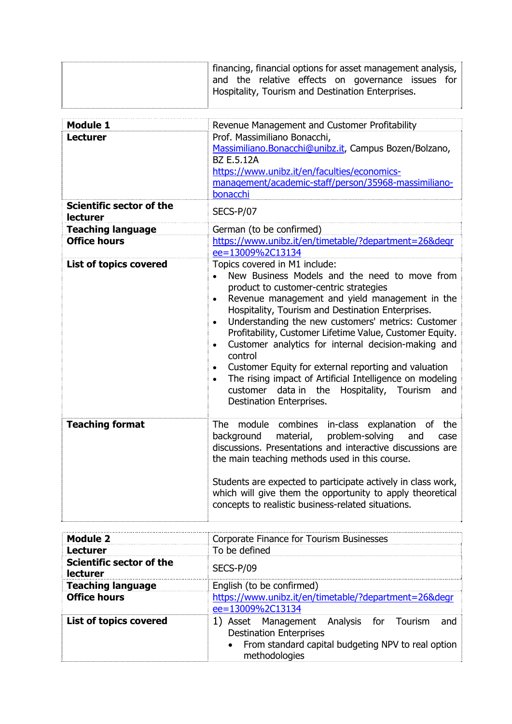|                                                    | financing, financial options for asset management analysis,<br>and the relative effects on governance issues for<br>Hospitality, Tourism and Destination Enterprises.                                                                                                                                                                                                                                                                                                                                                                                                                                                                                                                                       |
|----------------------------------------------------|-------------------------------------------------------------------------------------------------------------------------------------------------------------------------------------------------------------------------------------------------------------------------------------------------------------------------------------------------------------------------------------------------------------------------------------------------------------------------------------------------------------------------------------------------------------------------------------------------------------------------------------------------------------------------------------------------------------|
| <b>Module 1</b><br><b>Lecturer</b>                 | Revenue Management and Customer Profitability<br>Prof. Massimiliano Bonacchi,<br>Massimiliano.Bonacchi@unibz.it, Campus Bozen/Bolzano,<br><b>BZ E.5.12A</b><br>https://www.unibz.it/en/faculties/economics-<br>management/academic-staff/person/35968-massimiliano-<br>bonacchi                                                                                                                                                                                                                                                                                                                                                                                                                             |
| <b>Scientific sector of the</b><br><b>lecturer</b> | SECS-P/07                                                                                                                                                                                                                                                                                                                                                                                                                                                                                                                                                                                                                                                                                                   |
| <b>Teaching language</b>                           | German (to be confirmed)                                                                                                                                                                                                                                                                                                                                                                                                                                                                                                                                                                                                                                                                                    |
| <b>Office hours</b>                                | https://www.unibz.it/en/timetable/?department=26&degr<br>ee=13009%2C13134                                                                                                                                                                                                                                                                                                                                                                                                                                                                                                                                                                                                                                   |
| <b>List of topics covered</b>                      | Topics covered in M1 include:<br>New Business Models and the need to move from<br>$\bullet$<br>product to customer-centric strategies<br>Revenue management and yield management in the<br>$\bullet$<br>Hospitality, Tourism and Destination Enterprises.<br>Understanding the new customers' metrics: Customer<br>$\bullet$<br>Profitability, Customer Lifetime Value, Customer Equity.<br>Customer analytics for internal decision-making and<br>$\bullet$<br>control<br>Customer Equity for external reporting and valuation<br>$\bullet$<br>The rising impact of Artificial Intelligence on modeling<br>$\bullet$<br>data in the<br>Hospitality, Tourism<br>customer<br>and<br>Destination Enterprises. |
| <b>Teaching format</b>                             | module<br>combines<br>in-class explanation<br>the<br>The.<br>0f<br>background<br>problem-solving<br>material,<br>and<br>case<br>discussions. Presentations and interactive discussions are<br>the main teaching methods used in this course.<br>Students are expected to participate actively in class work,<br>which will give them the opportunity to apply theoretical<br>concepts to realistic business-related situations.                                                                                                                                                                                                                                                                             |
| <b>Module 2</b>                                    | Corporate Finance for Tourism Businesses                                                                                                                                                                                                                                                                                                                                                                                                                                                                                                                                                                                                                                                                    |
| <b>Lecturer</b>                                    | To be defined                                                                                                                                                                                                                                                                                                                                                                                                                                                                                                                                                                                                                                                                                               |
| <b>Scientific sector of the</b><br><b>lecturer</b> | SECS-P/09                                                                                                                                                                                                                                                                                                                                                                                                                                                                                                                                                                                                                                                                                                   |

| <b>Teaching language</b> | English (to be confirmed)                                                                                                                                  |
|--------------------------|------------------------------------------------------------------------------------------------------------------------------------------------------------|
| <b>Office hours</b>      | https://www.unibz.it/en/timetable/?department=26&degr<br>ee=13009%2C13134                                                                                  |
| List of topics covered   | 1) Asset Management Analysis for Tourism<br>and<br><b>Destination Enterprises</b><br>• From standard capital budgeting NPV to real option<br>methodologies |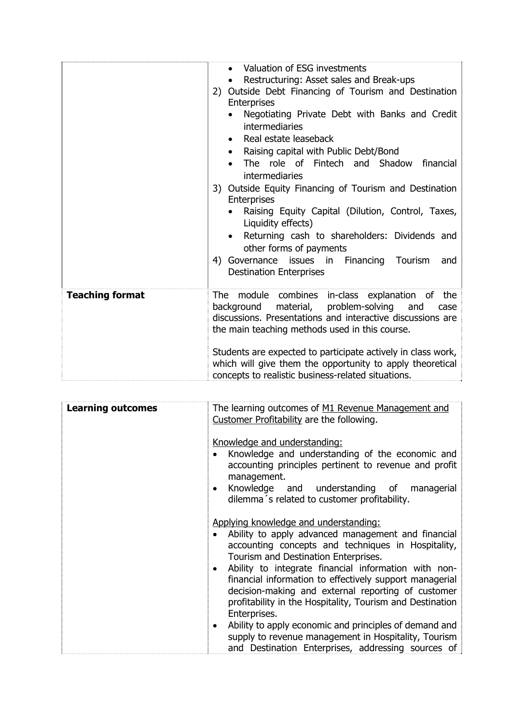|                        | Valuation of ESG investments<br>Restructuring: Asset sales and Break-ups<br>2) Outside Debt Financing of Tourism and Destination<br><b>Enterprises</b><br>Negotiating Private Debt with Banks and Credit<br><b>intermediaries</b><br>Real estate leaseback<br>Raising capital with Public Debt/Bond<br>The role of Fintech and Shadow<br>financial<br>intermediaries<br>3) Outside Equity Financing of Tourism and Destination<br>Enterprises<br>Raising Equity Capital (Dilution, Control, Taxes,<br>Liquidity effects)<br>Returning cash to shareholders: Dividends and<br>other forms of payments<br>4) Governance issues in Financing<br>Tourism<br>and<br><b>Destination Enterprises</b> |
|------------------------|-----------------------------------------------------------------------------------------------------------------------------------------------------------------------------------------------------------------------------------------------------------------------------------------------------------------------------------------------------------------------------------------------------------------------------------------------------------------------------------------------------------------------------------------------------------------------------------------------------------------------------------------------------------------------------------------------|
| <b>Teaching format</b> | The module combines in-class explanation of the<br>material,<br>problem-solving<br>background<br>and<br>case<br>discussions. Presentations and interactive discussions are<br>the main teaching methods used in this course.<br>Students are expected to participate actively in class work,<br>which will give them the opportunity to apply theoretical<br>concepts to realistic business-related situations.                                                                                                                                                                                                                                                                               |

| <b>Learning outcomes</b> | The learning outcomes of M1 Revenue Management and<br>Customer Profitability are the following.                                                                                                                                                                                                                                                                                 |
|--------------------------|---------------------------------------------------------------------------------------------------------------------------------------------------------------------------------------------------------------------------------------------------------------------------------------------------------------------------------------------------------------------------------|
|                          | Knowledge and understanding:<br>Knowledge and understanding of the economic and<br>accounting principles pertinent to revenue and profit<br>management.                                                                                                                                                                                                                         |
|                          | Knowledge and understanding of managerial<br>dilemma's related to customer profitability.                                                                                                                                                                                                                                                                                       |
|                          | Applying knowledge and understanding:<br>Ability to apply advanced management and financial<br>accounting concepts and techniques in Hospitality,<br>Tourism and Destination Enterprises.<br>Ability to integrate financial information with non-<br>$\bullet$<br>financial information to effectively support managerial<br>decision-making and external reporting of customer |
|                          | profitability in the Hospitality, Tourism and Destination<br>Enterprises.                                                                                                                                                                                                                                                                                                       |
|                          | Ability to apply economic and principles of demand and<br>$\bullet$<br>supply to revenue management in Hospitality, Tourism<br>and Destination Enterprises, addressing sources of                                                                                                                                                                                               |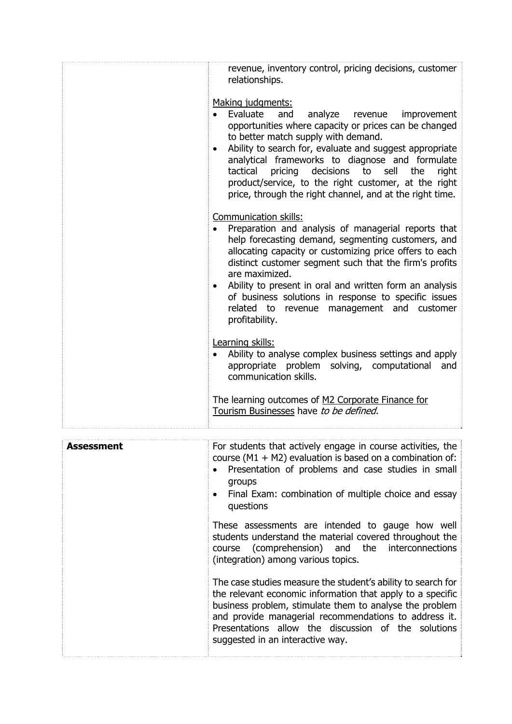|                   | revenue, inventory control, pricing decisions, customer<br>relationships.<br>Making judgments:<br>Evaluate<br>and<br>analyze revenue improvement<br>opportunities where capacity or prices can be changed<br>to better match supply with demand.<br>Ability to search for, evaluate and suggest appropriate<br>$\bullet$<br>analytical frameworks to diagnose and formulate<br>tactical<br>pricing<br>decisions<br>to<br>sell<br>the<br>right<br>product/service, to the right customer, at the right<br>price, through the right channel, and at the right time.<br>Communication skills:<br>Preparation and analysis of managerial reports that<br>help forecasting demand, segmenting customers, and<br>allocating capacity or customizing price offers to each<br>distinct customer segment such that the firm's profits<br>are maximized.<br>Ability to present in oral and written form an analysis<br>$\bullet$<br>of business solutions in response to specific issues<br>related to revenue management and customer<br>profitability.<br>Learning skills:<br>Ability to analyse complex business settings and apply<br>appropriate problem solving, computational<br>and<br>communication skills.<br>The learning outcomes of M2 Corporate Finance for<br>Tourism Businesses have to be defined. |
|-------------------|-----------------------------------------------------------------------------------------------------------------------------------------------------------------------------------------------------------------------------------------------------------------------------------------------------------------------------------------------------------------------------------------------------------------------------------------------------------------------------------------------------------------------------------------------------------------------------------------------------------------------------------------------------------------------------------------------------------------------------------------------------------------------------------------------------------------------------------------------------------------------------------------------------------------------------------------------------------------------------------------------------------------------------------------------------------------------------------------------------------------------------------------------------------------------------------------------------------------------------------------------------------------------------------------------------------|
| <b>Assessment</b> | For students that actively engage in course activities, the<br>course ( $M1 + M2$ ) evaluation is based on a combination of:<br>Presentation of problems and case studies in small<br>groups<br>Final Exam: combination of multiple choice and essay<br>$\bullet$<br>questions<br>These assessments are intended to gauge how well<br>students understand the material covered throughout the<br>(comprehension)<br>and<br>the<br>interconnections<br>course<br>(integration) among various topics.<br>The case studies measure the student's ability to search for<br>the relevant economic information that apply to a specific<br>business problem, stimulate them to analyse the problem<br>and provide managerial recommendations to address it.<br>Presentations allow the discussion of the solutions<br>suggested in an interactive way.                                                                                                                                                                                                                                                                                                                                                                                                                                                          |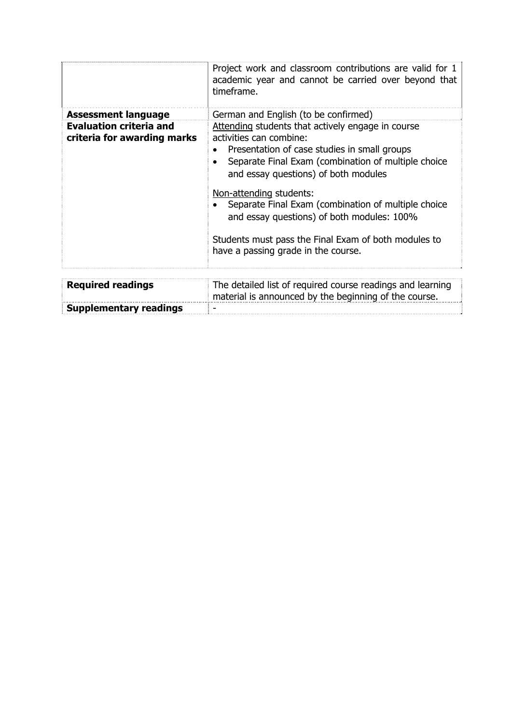|                                                               | Project work and classroom contributions are valid for 1<br>academic year and cannot be carried over beyond that<br>timeframe.                                                                                              |
|---------------------------------------------------------------|-----------------------------------------------------------------------------------------------------------------------------------------------------------------------------------------------------------------------------|
| <b>Assessment language</b>                                    | German and English (to be confirmed)                                                                                                                                                                                        |
| <b>Evaluation criteria and</b><br>criteria for awarding marks | Attending students that actively engage in course<br>activities can combine:<br>Presentation of case studies in small groups<br>Separate Final Exam (combination of multiple choice<br>and essay questions) of both modules |
|                                                               | Non-attending students:<br>Separate Final Exam (combination of multiple choice<br>and essay questions) of both modules: 100%                                                                                                |
|                                                               | Students must pass the Final Exam of both modules to<br>have a passing grade in the course.                                                                                                                                 |
|                                                               |                                                                                                                                                                                                                             |
| <b>Required readings</b>                                      | The detailed list of required course readings and learning<br>material is announced by the beginning of the course.                                                                                                         |
| <b>Supplementary readings</b>                                 |                                                                                                                                                                                                                             |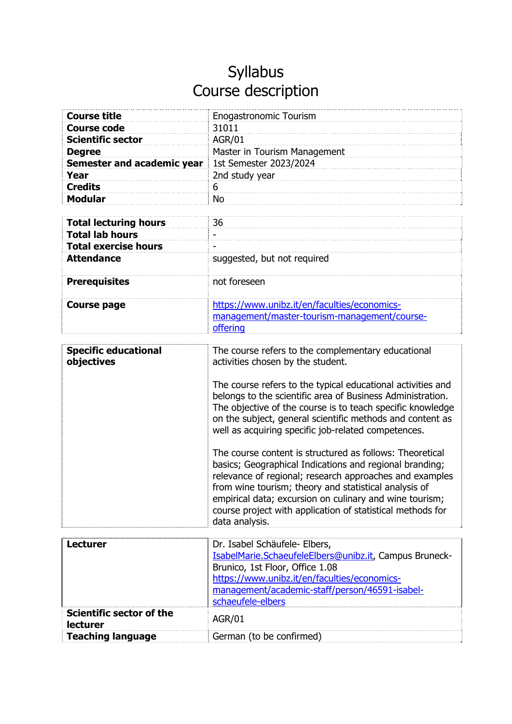| <b>Course title</b>          | <b>Enogastronomic Tourism</b>                |
|------------------------------|----------------------------------------------|
| <b>Course code</b>           | 31011                                        |
| <b>Scientific sector</b>     | <b>AGR/01</b>                                |
| <b>Degree</b>                | Master in Tourism Management                 |
| Semester and academic year   | 1st Semester 2023/2024                       |
| Year                         | 2nd study year                               |
| <b>Credits</b>               | 6                                            |
| <b>Modular</b>               | <b>No</b>                                    |
|                              |                                              |
| <b>Total lecturing hours</b> | 36                                           |
| <b>Total lab hours</b>       |                                              |
| <b>Total exercise hours</b>  |                                              |
| <b>Attendance</b>            | suggested, but not required                  |
|                              |                                              |
| <b>Prerequisites</b>         | not foreseen                                 |
|                              |                                              |
| <b>Course page</b>           | https://www.unibz.it/en/faculties/economics- |
|                              | management/master-tourism-management/course- |
|                              | offering                                     |

| <b>Specific educational</b><br>objectives          | The course refers to the complementary educational<br>activities chosen by the student.<br>The course refers to the typical educational activities and<br>belongs to the scientific area of Business Administration.<br>The objective of the course is to teach specific knowledge<br>on the subject, general scientific methods and content as<br>well as acquiring specific job-related competences.<br>The course content is structured as follows: Theoretical<br>basics; Geographical Indications and regional branding;<br>relevance of regional; research approaches and examples |
|----------------------------------------------------|------------------------------------------------------------------------------------------------------------------------------------------------------------------------------------------------------------------------------------------------------------------------------------------------------------------------------------------------------------------------------------------------------------------------------------------------------------------------------------------------------------------------------------------------------------------------------------------|
|                                                    | from wine tourism; theory and statistical analysis of<br>empirical data; excursion on culinary and wine tourism;<br>course project with application of statistical methods for<br>data analysis.                                                                                                                                                                                                                                                                                                                                                                                         |
|                                                    |                                                                                                                                                                                                                                                                                                                                                                                                                                                                                                                                                                                          |
| <b>Lecturer</b>                                    | Dr. Isabel Schäufele- Elbers,<br>IsabelMarie.SchaeufeleElbers@unibz.it, Campus Bruneck-<br>Brunico, 1st Floor, Office 1.08<br>https://www.unibz.it/en/faculties/economics-<br>management/academic-staff/person/46591-isabel-<br>schaeufele-elbers                                                                                                                                                                                                                                                                                                                                        |
| <b>Scientific sector of the</b><br><b>lecturer</b> | <b>AGR/01</b>                                                                                                                                                                                                                                                                                                                                                                                                                                                                                                                                                                            |
| <b>Teaching language</b>                           | German (to be confirmed)                                                                                                                                                                                                                                                                                                                                                                                                                                                                                                                                                                 |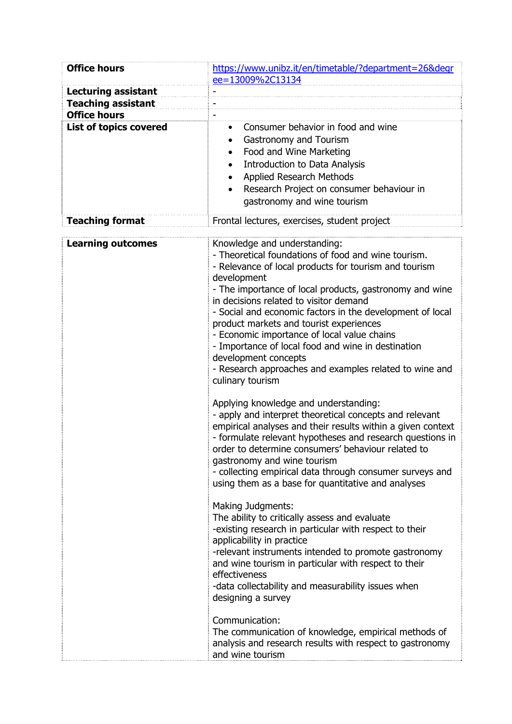| <b>Office hours</b>                              | https://www.unibz.it/en/timetable/?department=26&degr                                                                                                                                                                                                                                                                                                                                                                                                                                                                                                                                                                                                                                                                                                                                                                                                                                                                                                                                                                                                                                                                                                                                                                                                                                                                                                                                                                                                                                                                                                          |
|--------------------------------------------------|----------------------------------------------------------------------------------------------------------------------------------------------------------------------------------------------------------------------------------------------------------------------------------------------------------------------------------------------------------------------------------------------------------------------------------------------------------------------------------------------------------------------------------------------------------------------------------------------------------------------------------------------------------------------------------------------------------------------------------------------------------------------------------------------------------------------------------------------------------------------------------------------------------------------------------------------------------------------------------------------------------------------------------------------------------------------------------------------------------------------------------------------------------------------------------------------------------------------------------------------------------------------------------------------------------------------------------------------------------------------------------------------------------------------------------------------------------------------------------------------------------------------------------------------------------------|
|                                                  | ee=13009%2C13134                                                                                                                                                                                                                                                                                                                                                                                                                                                                                                                                                                                                                                                                                                                                                                                                                                                                                                                                                                                                                                                                                                                                                                                                                                                                                                                                                                                                                                                                                                                                               |
| <b>Lecturing assistant</b>                       |                                                                                                                                                                                                                                                                                                                                                                                                                                                                                                                                                                                                                                                                                                                                                                                                                                                                                                                                                                                                                                                                                                                                                                                                                                                                                                                                                                                                                                                                                                                                                                |
| <b>Teaching assistant</b><br><b>Office hours</b> |                                                                                                                                                                                                                                                                                                                                                                                                                                                                                                                                                                                                                                                                                                                                                                                                                                                                                                                                                                                                                                                                                                                                                                                                                                                                                                                                                                                                                                                                                                                                                                |
| <b>List of topics covered</b>                    | Consumer behavior in food and wine<br>$\bullet$                                                                                                                                                                                                                                                                                                                                                                                                                                                                                                                                                                                                                                                                                                                                                                                                                                                                                                                                                                                                                                                                                                                                                                                                                                                                                                                                                                                                                                                                                                                |
|                                                  | Gastronomy and Tourism<br>$\bullet$<br>Food and Wine Marketing<br>$\bullet$<br><b>Introduction to Data Analysis</b><br>$\bullet$<br>Applied Research Methods<br>$\bullet$<br>Research Project on consumer behaviour in<br>gastronomy and wine tourism                                                                                                                                                                                                                                                                                                                                                                                                                                                                                                                                                                                                                                                                                                                                                                                                                                                                                                                                                                                                                                                                                                                                                                                                                                                                                                          |
| <b>Teaching format</b>                           | Frontal lectures, exercises, student project                                                                                                                                                                                                                                                                                                                                                                                                                                                                                                                                                                                                                                                                                                                                                                                                                                                                                                                                                                                                                                                                                                                                                                                                                                                                                                                                                                                                                                                                                                                   |
| <b>Learning outcomes</b>                         | Knowledge and understanding:<br>- Theoretical foundations of food and wine tourism.<br>- Relevance of local products for tourism and tourism<br>development<br>- The importance of local products, gastronomy and wine<br>in decisions related to visitor demand<br>- Social and economic factors in the development of local<br>product markets and tourist experiences<br>- Economic importance of local value chains<br>- Importance of local food and wine in destination<br>development concepts<br>- Research approaches and examples related to wine and<br>culinary tourism<br>Applying knowledge and understanding:<br>- apply and interpret theoretical concepts and relevant<br>empirical analyses and their results within a given context<br>- formulate relevant hypotheses and research questions in<br>order to determine consumers' behaviour related to<br>gastronomy and wine tourism<br>- collecting empirical data through consumer surveys and<br>using them as a base for quantitative and analyses<br>Making Judgments:<br>The ability to critically assess and evaluate<br>-existing research in particular with respect to their<br>applicability in practice<br>-relevant instruments intended to promote gastronomy<br>and wine tourism in particular with respect to their<br>effectiveness<br>-data collectability and measurability issues when<br>designing a survey<br>Communication:<br>The communication of knowledge, empirical methods of<br>analysis and research results with respect to gastronomy<br>and wine tourism |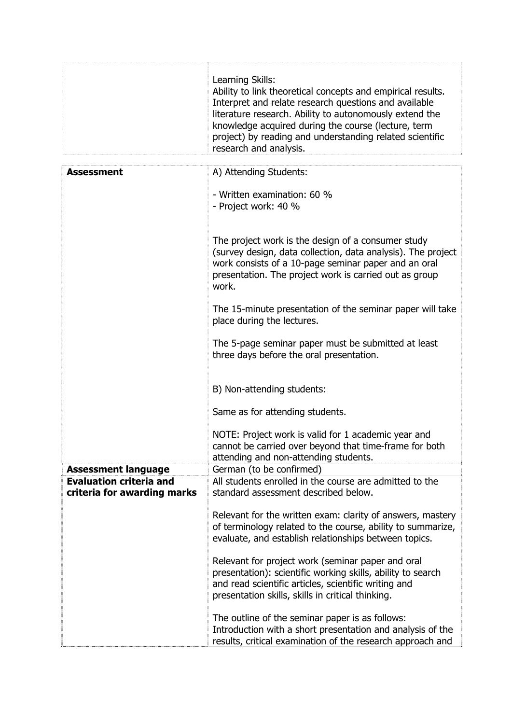|                                                               | Learning Skills:<br>Ability to link theoretical concepts and empirical results.<br>Interpret and relate research questions and available<br>literature research. Ability to autonomously extend the<br>knowledge acquired during the course (lecture, term<br>project) by reading and understanding related scientific<br>research and analysis. |
|---------------------------------------------------------------|--------------------------------------------------------------------------------------------------------------------------------------------------------------------------------------------------------------------------------------------------------------------------------------------------------------------------------------------------|
| <b>Assessment</b>                                             | A) Attending Students:                                                                                                                                                                                                                                                                                                                           |
|                                                               | - Written examination: 60 %<br>- Project work: 40 %                                                                                                                                                                                                                                                                                              |
|                                                               | The project work is the design of a consumer study<br>(survey design, data collection, data analysis). The project<br>work consists of a 10-page seminar paper and an oral<br>presentation. The project work is carried out as group<br>work.                                                                                                    |
|                                                               | The 15-minute presentation of the seminar paper will take<br>place during the lectures.                                                                                                                                                                                                                                                          |
|                                                               | The 5-page seminar paper must be submitted at least<br>three days before the oral presentation.                                                                                                                                                                                                                                                  |
|                                                               | B) Non-attending students:                                                                                                                                                                                                                                                                                                                       |
|                                                               | Same as for attending students.                                                                                                                                                                                                                                                                                                                  |
|                                                               | NOTE: Project work is valid for 1 academic year and<br>cannot be carried over beyond that time-frame for both<br>attending and non-attending students.                                                                                                                                                                                           |
| <b>Assessment language</b>                                    | German (to be confirmed)                                                                                                                                                                                                                                                                                                                         |
| <b>Evaluation criteria and</b><br>criteria for awarding marks | All students enrolled in the course are admitted to the<br>standard assessment described below.                                                                                                                                                                                                                                                  |
|                                                               | Relevant for the written exam: clarity of answers, mastery<br>of terminology related to the course, ability to summarize,<br>evaluate, and establish relationships between topics.                                                                                                                                                               |
|                                                               | Relevant for project work (seminar paper and oral<br>presentation): scientific working skills, ability to search<br>and read scientific articles, scientific writing and<br>presentation skills, skills in critical thinking.                                                                                                                    |
|                                                               | The outline of the seminar paper is as follows:<br>Introduction with a short presentation and analysis of the<br>results, critical examination of the research approach and                                                                                                                                                                      |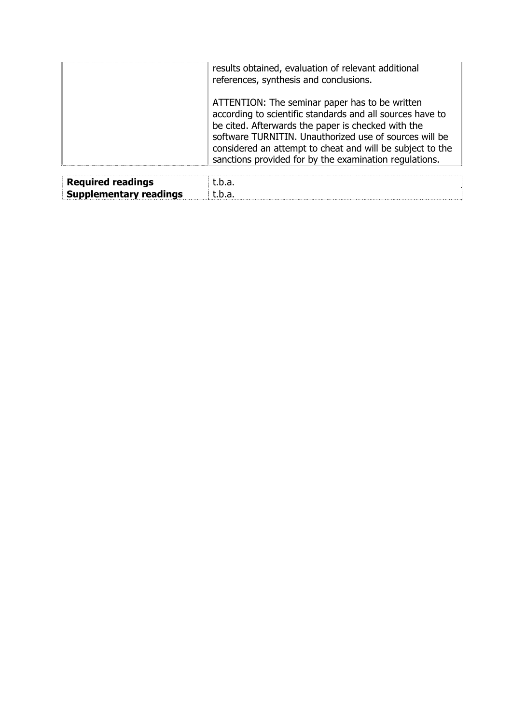|                   | results obtained, evaluation of relevant additional<br>references, synthesis and conclusions.                                                                                                                                                                                                                                                      |
|-------------------|----------------------------------------------------------------------------------------------------------------------------------------------------------------------------------------------------------------------------------------------------------------------------------------------------------------------------------------------------|
|                   | ATTENTION: The seminar paper has to be written<br>according to scientific standards and all sources have to<br>be cited. Afterwards the paper is checked with the<br>software TURNITIN. Unauthorized use of sources will be<br>considered an attempt to cheat and will be subject to the<br>sanctions provided for by the examination regulations. |
| Deculuad vaadinga | $+$ $-$                                                                                                                                                                                                                                                                                                                                            |

| <b>Required readings</b> | ∣t.b.a.                                                                                                                                                                                                                             |  |
|--------------------------|-------------------------------------------------------------------------------------------------------------------------------------------------------------------------------------------------------------------------------------|--|
|                          | <b>Supplementary readings</b>   t.b.a.   t.b.a.   t.b.a.   t.b.a.   t.b.a.   t.b.a.   t.b.a.   t.b.a.   t.b.a.   t.b.a.   t.b.a.   t.b.a.   t.b.a.   t.b.a.   t.b.a.   t.b.a.   t.b.a.   t.b.a.   t.b.a.   t.b.a.   t.b.a.   t.b.a. |  |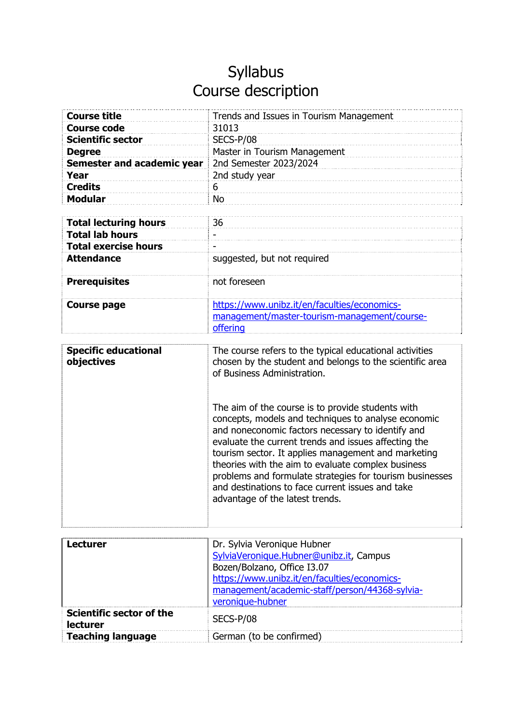| <b>Course title</b>               | Trends and Issues in Tourism Management      |
|-----------------------------------|----------------------------------------------|
| <b>Course code</b>                | 31013                                        |
| <b>Scientific sector</b>          | SECS-P/08                                    |
| <b>Degree</b>                     | Master in Tourism Management                 |
| <b>Semester and academic year</b> | 2nd Semester 2023/2024                       |
| Year                              | 2nd study year                               |
| <b>Credits</b>                    | 6                                            |
| <b>Modular</b>                    | <b>No</b>                                    |
|                                   |                                              |
| <b>Total lecturing hours</b>      | 36                                           |
| <b>Total lab hours</b>            |                                              |
| <b>Total exercise hours</b>       |                                              |
| <b>Attendance</b>                 | suggested, but not required                  |
|                                   |                                              |
| <b>Prerequisites</b>              | not foreseen                                 |
|                                   |                                              |
| Course page                       | https://www.unibz.it/en/faculties/economics- |
|                                   | management/master-tourism-management/course- |
|                                   | offering                                     |

| <b>Specific educational</b><br>objectives          | The course refers to the typical educational activities<br>chosen by the student and belongs to the scientific area<br>of Business Administration.<br>The aim of the course is to provide students with<br>concepts, models and techniques to analyse economic<br>and noneconomic factors necessary to identify and<br>evaluate the current trends and issues affecting the<br>tourism sector. It applies management and marketing<br>theories with the aim to evaluate complex business<br>problems and formulate strategies for tourism businesses<br>and destinations to face current issues and take<br>advantage of the latest trends. |
|----------------------------------------------------|---------------------------------------------------------------------------------------------------------------------------------------------------------------------------------------------------------------------------------------------------------------------------------------------------------------------------------------------------------------------------------------------------------------------------------------------------------------------------------------------------------------------------------------------------------------------------------------------------------------------------------------------|
|                                                    |                                                                                                                                                                                                                                                                                                                                                                                                                                                                                                                                                                                                                                             |
| <b>Lecturer</b>                                    | Dr. Sylvia Veronique Hubner                                                                                                                                                                                                                                                                                                                                                                                                                                                                                                                                                                                                                 |
|                                                    | SylviaVeronique.Hubner@unibz.it, Campus<br>Bozen/Bolzano, Office I3.07                                                                                                                                                                                                                                                                                                                                                                                                                                                                                                                                                                      |
|                                                    | https://www.unibz.it/en/faculties/economics-                                                                                                                                                                                                                                                                                                                                                                                                                                                                                                                                                                                                |
|                                                    | management/academic-staff/person/44368-sylvia-                                                                                                                                                                                                                                                                                                                                                                                                                                                                                                                                                                                              |
|                                                    | veronique-hubner                                                                                                                                                                                                                                                                                                                                                                                                                                                                                                                                                                                                                            |
| <b>Scientific sector of the</b><br><b>lecturer</b> | SECS-P/08                                                                                                                                                                                                                                                                                                                                                                                                                                                                                                                                                                                                                                   |
| <b>Teaching language</b>                           | German (to be confirmed)                                                                                                                                                                                                                                                                                                                                                                                                                                                                                                                                                                                                                    |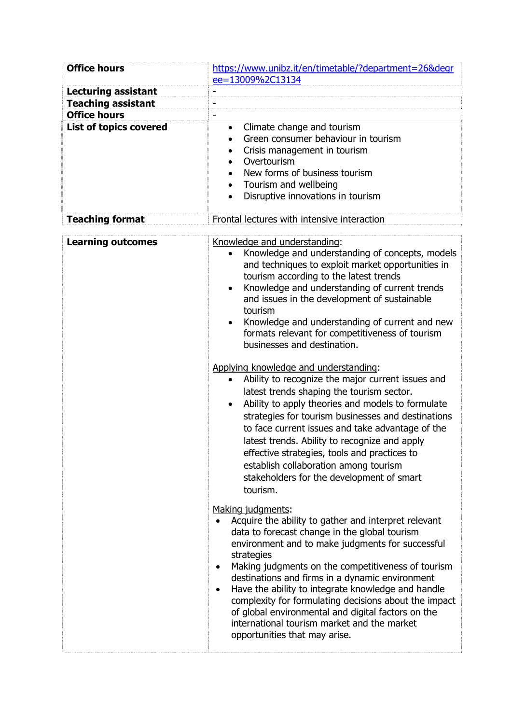| <b>Office hours</b>           | https://www.unibz.it/en/timetable/?department=26&degr                                                                                                                                                                                                                                                                                                                                                                                                                                                                                                                                                                                                                                                                                                                                                                                                                                                                                                                 |
|-------------------------------|-----------------------------------------------------------------------------------------------------------------------------------------------------------------------------------------------------------------------------------------------------------------------------------------------------------------------------------------------------------------------------------------------------------------------------------------------------------------------------------------------------------------------------------------------------------------------------------------------------------------------------------------------------------------------------------------------------------------------------------------------------------------------------------------------------------------------------------------------------------------------------------------------------------------------------------------------------------------------|
|                               | ee=13009%2C13134                                                                                                                                                                                                                                                                                                                                                                                                                                                                                                                                                                                                                                                                                                                                                                                                                                                                                                                                                      |
| <b>Lecturing assistant</b>    |                                                                                                                                                                                                                                                                                                                                                                                                                                                                                                                                                                                                                                                                                                                                                                                                                                                                                                                                                                       |
| <b>Teaching assistant</b>     |                                                                                                                                                                                                                                                                                                                                                                                                                                                                                                                                                                                                                                                                                                                                                                                                                                                                                                                                                                       |
| <b>Office hours</b>           |                                                                                                                                                                                                                                                                                                                                                                                                                                                                                                                                                                                                                                                                                                                                                                                                                                                                                                                                                                       |
| <b>List of topics covered</b> | Climate change and tourism<br>$\bullet$<br>Green consumer behaviour in tourism<br>$\bullet$<br>Crisis management in tourism<br>$\bullet$<br>Overtourism<br>$\bullet$<br>New forms of business tourism<br>$\bullet$<br>Tourism and wellbeing<br>$\bullet$<br>Disruptive innovations in tourism<br>$\bullet$                                                                                                                                                                                                                                                                                                                                                                                                                                                                                                                                                                                                                                                            |
| <b>Teaching format</b>        | Frontal lectures with intensive interaction                                                                                                                                                                                                                                                                                                                                                                                                                                                                                                                                                                                                                                                                                                                                                                                                                                                                                                                           |
| <b>Learning outcomes</b>      | Knowledge and understanding:<br>Knowledge and understanding of concepts, models<br>and techniques to exploit market opportunities in<br>tourism according to the latest trends<br>Knowledge and understanding of current trends<br>$\bullet$<br>and issues in the development of sustainable<br>tourism<br>Knowledge and understanding of current and new<br>formats relevant for competitiveness of tourism<br>businesses and destination.<br>Applying knowledge and understanding:<br>Ability to recognize the major current issues and<br>$\bullet$<br>latest trends shaping the tourism sector.<br>Ability to apply theories and models to formulate<br>strategies for tourism businesses and destinations<br>to face current issues and take advantage of the<br>latest trends. Ability to recognize and apply<br>effective strategies, tools and practices to<br>establish collaboration among tourism<br>stakeholders for the development of smart<br>tourism. |
|                               | Making judgments:<br>Acquire the ability to gather and interpret relevant<br>data to forecast change in the global tourism<br>environment and to make judgments for successful<br>strategies<br>Making judgments on the competitiveness of tourism<br>$\bullet$<br>destinations and firms in a dynamic environment<br>Have the ability to integrate knowledge and handle<br>complexity for formulating decisions about the impact<br>of global environmental and digital factors on the<br>international tourism market and the market<br>opportunities that may arise.                                                                                                                                                                                                                                                                                                                                                                                               |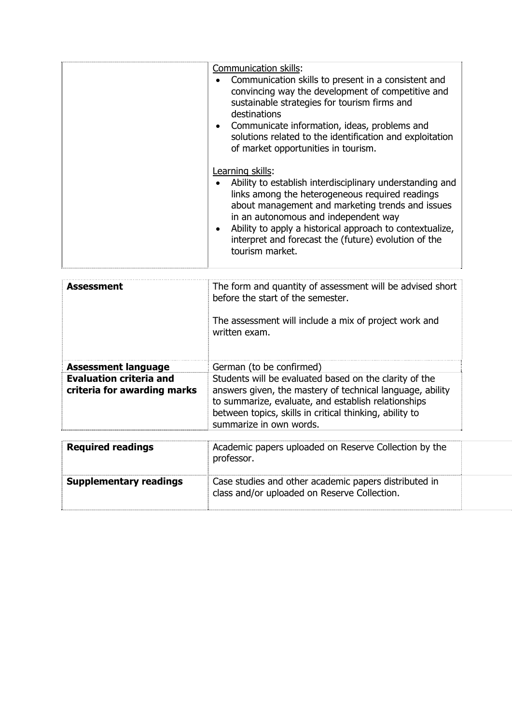| Communication skills:<br>Communication skills to present in a consistent and<br>$\bullet$<br>convincing way the development of competitive and<br>sustainable strategies for tourism firms and<br>destinations<br>• Communicate information, ideas, problems and<br>solutions related to the identification and exploitation<br>of market opportunities in tourism.             |
|---------------------------------------------------------------------------------------------------------------------------------------------------------------------------------------------------------------------------------------------------------------------------------------------------------------------------------------------------------------------------------|
| Learning skills:<br>Ability to establish interdisciplinary understanding and<br>links among the heterogeneous required readings<br>about management and marketing trends and issues<br>in an autonomous and independent way<br>Ability to apply a historical approach to contextualize,<br>$\bullet$<br>interpret and forecast the (future) evolution of the<br>tourism market. |

| <b>Assessment</b>                                             | The form and quantity of assessment will be advised short<br>before the start of the semester.<br>The assessment will include a mix of project work and<br>written exam.                                                                                         |
|---------------------------------------------------------------|------------------------------------------------------------------------------------------------------------------------------------------------------------------------------------------------------------------------------------------------------------------|
| <b>Assessment language</b>                                    | German (to be confirmed)                                                                                                                                                                                                                                         |
| <b>Evaluation criteria and</b><br>criteria for awarding marks | Students will be evaluated based on the clarity of the<br>answers given, the mastery of technical language, ability<br>to summarize, evaluate, and establish relationships<br>between topics, skills in critical thinking, ability to<br>summarize in own words. |
| <b>Required readings</b>                                      | Academic papers uploaded on Reserve Collection by the<br>professor.                                                                                                                                                                                              |
| <b>Supplementary readings</b>                                 | Case studies and other academic papers distributed in<br>class and/or uploaded on Reserve Collection.                                                                                                                                                            |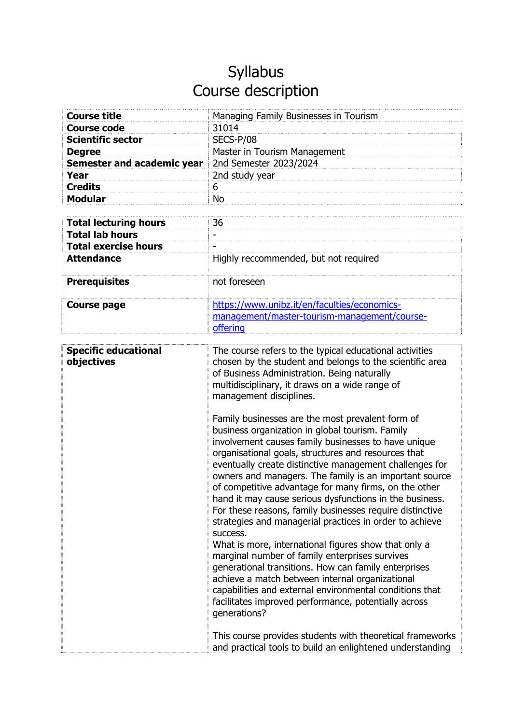| <b>Course title</b>          | Managing Family Businesses in Tourism        |
|------------------------------|----------------------------------------------|
| <b>Course code</b>           | 31014                                        |
| <b>Scientific sector</b>     | SECS-P/08                                    |
| <b>Degree</b>                | Master in Tourism Management                 |
| Semester and academic year   | 2nd Semester 2023/2024                       |
| Year                         | 2nd study year                               |
| <b>Credits</b>               | 6                                            |
| <b>Modular</b>               | <b>No</b>                                    |
|                              |                                              |
| <b>Total lecturing hours</b> | 36                                           |
| <b>Total lab hours</b>       |                                              |
| <b>Total exercise hours</b>  |                                              |
| <b>Attendance</b>            | Highly reccommended, but not required        |
|                              |                                              |
| <b>Prerequisites</b>         | not foreseen                                 |
|                              |                                              |
| <b>Course page</b>           | https://www.unibz.it/en/faculties/economics- |
|                              | management/master-tourism-management/course- |
|                              | offering                                     |

| <b>Specific educational</b><br>objectives | The course refers to the typical educational activities<br>chosen by the student and belongs to the scientific area<br>of Business Administration. Being naturally<br>multidisciplinary, it draws on a wide range of<br>management disciplines.                                                                                                                                                                                                                                                                                                                                                                                                                                                                                                                                                                                                                                                                                                       |
|-------------------------------------------|-------------------------------------------------------------------------------------------------------------------------------------------------------------------------------------------------------------------------------------------------------------------------------------------------------------------------------------------------------------------------------------------------------------------------------------------------------------------------------------------------------------------------------------------------------------------------------------------------------------------------------------------------------------------------------------------------------------------------------------------------------------------------------------------------------------------------------------------------------------------------------------------------------------------------------------------------------|
|                                           | Family businesses are the most prevalent form of<br>business organization in global tourism. Family<br>involvement causes family businesses to have unique<br>organisational goals, structures and resources that<br>eventually create distinctive management challenges for<br>owners and managers. The family is an important source<br>of competitive advantage for many firms, on the other<br>hand it may cause serious dysfunctions in the business.<br>For these reasons, family businesses require distinctive<br>strategies and managerial practices in order to achieve<br>success.<br>What is more, international figures show that only a<br>marginal number of family enterprises survives<br>generational transitions. How can family enterprises<br>achieve a match between internal organizational<br>capabilities and external environmental conditions that<br>facilitates improved performance, potentially across<br>generations? |
|                                           | This course provides students with theoretical frameworks<br>and practical tools to build an enlightened understanding                                                                                                                                                                                                                                                                                                                                                                                                                                                                                                                                                                                                                                                                                                                                                                                                                                |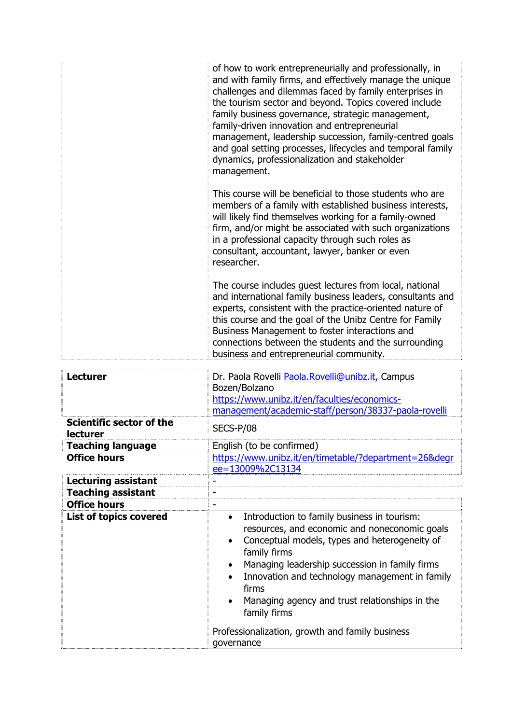|                                                 | of how to work entrepreneurially and professionally, in<br>and with family firms, and effectively manage the unique<br>challenges and dilemmas faced by family enterprises in<br>the tourism sector and beyond. Topics covered include<br>family business governance, strategic management,<br>family-driven innovation and entrepreneurial<br>management, leadership succession, family-centred goals<br>and goal setting processes, lifecycles and temporal family<br>dynamics, professionalization and stakeholder<br>management. |
|-------------------------------------------------|--------------------------------------------------------------------------------------------------------------------------------------------------------------------------------------------------------------------------------------------------------------------------------------------------------------------------------------------------------------------------------------------------------------------------------------------------------------------------------------------------------------------------------------|
|                                                 | This course will be beneficial to those students who are<br>members of a family with established business interests,<br>will likely find themselves working for a family-owned<br>firm, and/or might be associated with such organizations<br>in a professional capacity through such roles as<br>consultant, accountant, lawyer, banker or even<br>researcher.                                                                                                                                                                      |
|                                                 | The course includes guest lectures from local, national<br>and international family business leaders, consultants and<br>experts, consistent with the practice-oriented nature of<br>this course and the goal of the Unibz Centre for Family<br>Business Management to foster interactions and<br>connections between the students and the surrounding<br>business and entrepreneurial community.                                                                                                                                    |
| <b>Lecturer</b>                                 | Dr. Paola Rovelli Paola.Rovelli@unibz.it, Campus<br>Bozen/Bolzano<br>https://www.unibz.it/en/faculties/economics-<br>management/academic-staff/person/38337-paola-rovelli                                                                                                                                                                                                                                                                                                                                                            |
| <b>Scientific sector of the</b><br>lecturer     | SECS-P/08                                                                                                                                                                                                                                                                                                                                                                                                                                                                                                                            |
| <b>Teaching language</b><br><b>Office hours</b> | English (to be confirmed)<br>https://www.unibz.it/en/timetable/?department=26&degr<br>ee=13009%2C13134                                                                                                                                                                                                                                                                                                                                                                                                                               |
| <b>Lecturing assistant</b>                      |                                                                                                                                                                                                                                                                                                                                                                                                                                                                                                                                      |
| <b>Teaching assistant</b>                       | $\overline{a}$                                                                                                                                                                                                                                                                                                                                                                                                                                                                                                                       |

| Teaching assistant            |                                                                                                                                                                                                                                                                                                                                                                                                               |
|-------------------------------|---------------------------------------------------------------------------------------------------------------------------------------------------------------------------------------------------------------------------------------------------------------------------------------------------------------------------------------------------------------------------------------------------------------|
| <b>Office hours</b>           | -                                                                                                                                                                                                                                                                                                                                                                                                             |
| <b>List of topics covered</b> | Introduction to family business in tourism:<br>$\bullet$<br>resources, and economic and noneconomic goals<br>Conceptual models, types and heterogeneity of<br>$\bullet$<br>family firms<br>Managing leadership succession in family firms<br>$\bullet$<br>Innovation and technology management in family<br>$\bullet$<br>firms<br>Managing agency and trust relationships in the<br>$\bullet$<br>family firms |
|                               | Professionalization, growth and family business<br>governance                                                                                                                                                                                                                                                                                                                                                 |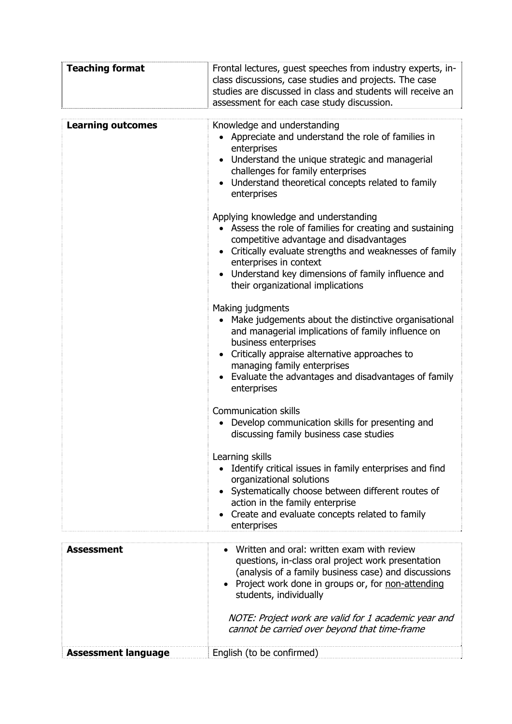| <b>Teaching format</b>     | Frontal lectures, guest speeches from industry experts, in-<br>class discussions, case studies and projects. The case<br>studies are discussed in class and students will receive an<br>assessment for each case study discussion.                                                                                                                 |
|----------------------------|----------------------------------------------------------------------------------------------------------------------------------------------------------------------------------------------------------------------------------------------------------------------------------------------------------------------------------------------------|
| <b>Learning outcomes</b>   | Knowledge and understanding<br>• Appreciate and understand the role of families in<br>enterprises<br>Understand the unique strategic and managerial<br>challenges for family enterprises<br>Understand theoretical concepts related to family<br>enterprises                                                                                       |
|                            | Applying knowledge and understanding<br>• Assess the role of families for creating and sustaining<br>competitive advantage and disadvantages<br>Critically evaluate strengths and weaknesses of family<br>enterprises in context<br>Understand key dimensions of family influence and<br>their organizational implications                         |
|                            | Making judgments<br>Make judgements about the distinctive organisational<br>and managerial implications of family influence on<br>business enterprises<br>Critically appraise alternative approaches to<br>managing family enterprises<br>Evaluate the advantages and disadvantages of family<br>enterprises                                       |
|                            | <b>Communication skills</b><br>Develop communication skills for presenting and<br>discussing family business case studies                                                                                                                                                                                                                          |
|                            | Learning skills<br>Identify critical issues in family enterprises and find<br>organizational solutions<br>• Systematically choose between different routes of<br>action in the family enterprise<br>Create and evaluate concepts related to family<br>enterprises                                                                                  |
|                            |                                                                                                                                                                                                                                                                                                                                                    |
| <b>Assessment</b>          | Written and oral: written exam with review<br>questions, in-class oral project work presentation<br>(analysis of a family business case) and discussions<br>• Project work done in groups or, for non-attending<br>students, individually<br>NOTE: Project work are valid for 1 academic year and<br>cannot be carried over beyond that time-frame |
| <b>Assessment language</b> | English (to be confirmed)                                                                                                                                                                                                                                                                                                                          |
|                            |                                                                                                                                                                                                                                                                                                                                                    |